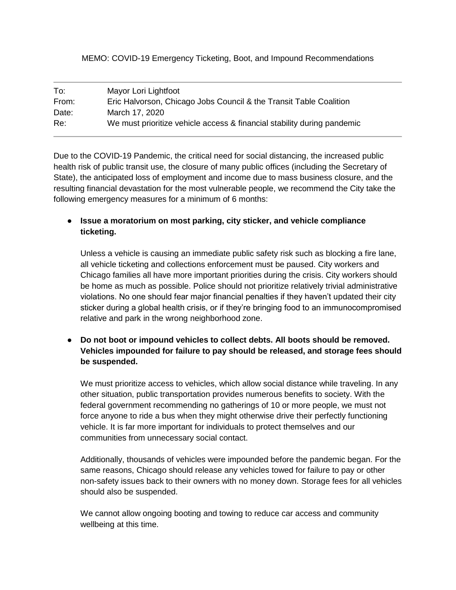## MEMO: COVID-19 Emergency Ticketing, Boot, and Impound Recommendations

| To:   | Mayor Lori Lightfoot                                                    |
|-------|-------------------------------------------------------------------------|
| From: | Eric Halvorson, Chicago Jobs Council & the Transit Table Coalition      |
| Date: | March 17, 2020                                                          |
| Re:   | We must prioritize vehicle access & financial stability during pandemic |

Due to the COVID-19 Pandemic, the critical need for social distancing, the increased public health risk of public transit use, the closure of many public offices (including the Secretary of State), the anticipated loss of employment and income due to mass business closure, and the resulting financial devastation for the most vulnerable people, we recommend the City take the following emergency measures for a minimum of 6 months:

● **Issue a moratorium on most parking, city sticker, and vehicle compliance ticketing.**

Unless a vehicle is causing an immediate public safety risk such as blocking a fire lane, all vehicle ticketing and collections enforcement must be paused. City workers and Chicago families all have more important priorities during the crisis. City workers should be home as much as possible. Police should not prioritize relatively trivial administrative violations. No one should fear major financial penalties if they haven't updated their city sticker during a global health crisis, or if they're bringing food to an immunocompromised relative and park in the wrong neighborhood zone.

● **Do not boot or impound vehicles to collect debts. All boots should be removed. Vehicles impounded for failure to pay should be released, and storage fees should be suspended.**

We must prioritize access to vehicles, which allow social distance while traveling. In any other situation, public transportation provides numerous benefits to society. With the federal government recommending no gatherings of 10 or more people, we must not force anyone to ride a bus when they might otherwise drive their perfectly functioning vehicle. It is far more important for individuals to protect themselves and our communities from unnecessary social contact.

Additionally, thousands of vehicles were impounded before the pandemic began. For the same reasons, Chicago should release any vehicles towed for failure to pay or other non-safety issues back to their owners with no money down. Storage fees for all vehicles should also be suspended.

We cannot allow ongoing booting and towing to reduce car access and community wellbeing at this time.